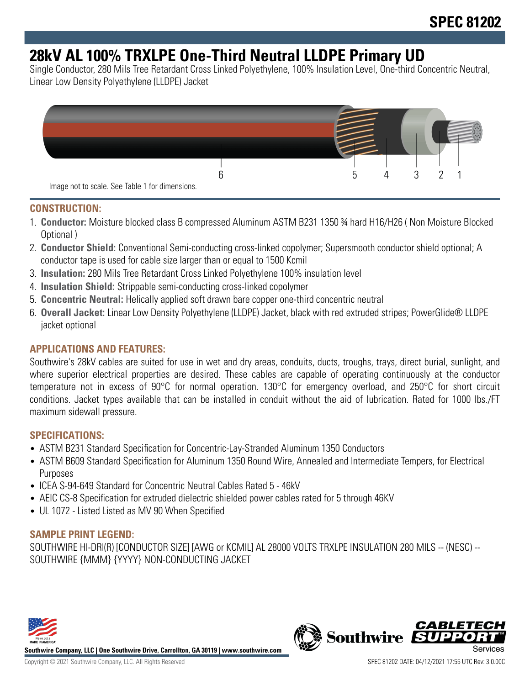# **28kV AL 100% TRXLPE One-Third Neutral LLDPE Primary UD**

Single Conductor, 280 Mils Tree Retardant Cross Linked Polyethylene, 100% Insulation Level, One-third Concentric Neutral, Linear Low Density Polyethylene (LLDPE) Jacket



#### **CONSTRUCTION:**

- 1. **Conductor:** Moisture blocked class B compressed Aluminum ASTM B231 1350 ¾ hard H16/H26 ( Non Moisture Blocked Optional )
- 2. **Conductor Shield:** Conventional Semi-conducting cross-linked copolymer; Supersmooth conductor shield optional; A conductor tape is used for cable size larger than or equal to 1500 Kcmil
- 3. **Insulation:** 280 Mils Tree Retardant Cross Linked Polyethylene 100% insulation level
- 4. **Insulation Shield:** Strippable semi-conducting cross-linked copolymer
- 5. **Concentric Neutral:** Helically applied soft drawn bare copper one-third concentric neutral
- 6. **Overall Jacket:** Linear Low Density Polyethylene (LLDPE) Jacket, black with red extruded stripes; PowerGlide® LLDPE jacket optional

### **APPLICATIONS AND FEATURES:**

Southwire's 28kV cables are suited for use in wet and dry areas, conduits, ducts, troughs, trays, direct burial, sunlight, and where superior electrical properties are desired. These cables are capable of operating continuously at the conductor temperature not in excess of 90°C for normal operation. 130°C for emergency overload, and 250°C for short circuit conditions. Jacket types available that can be installed in conduit without the aid of lubrication. Rated for 1000 lbs./FT maximum sidewall pressure.

#### **SPECIFICATIONS:**

- ASTM B231 Standard Specification for Concentric-Lay-Stranded Aluminum 1350 Conductors
- ASTM B609 Standard Specification for Aluminum 1350 Round Wire, Annealed and Intermediate Tempers, for Electrical Purposes
- ICEA S-94-649 Standard for Concentric Neutral Cables Rated 5 46kV
- AEIC CS-8 Specification for extruded dielectric shielded power cables rated for 5 through 46KV
- UL 1072 Listed Listed as MV 90 When Specified

### **SAMPLE PRINT LEGEND:**

SOUTHWIRE HI-DRI(R) [CONDUCTOR SIZE] [AWG or KCMIL] AL 28000 VOLTS TRXLPE INSULATION 280 MILS -- (NESC) -- SOUTHWIRE {MMM} {YYYY} NON-CONDUCTING JACKET



**Southwire Company, LLC | One Southwire Drive, Carrollton, GA 30119 | www.southwire.com**

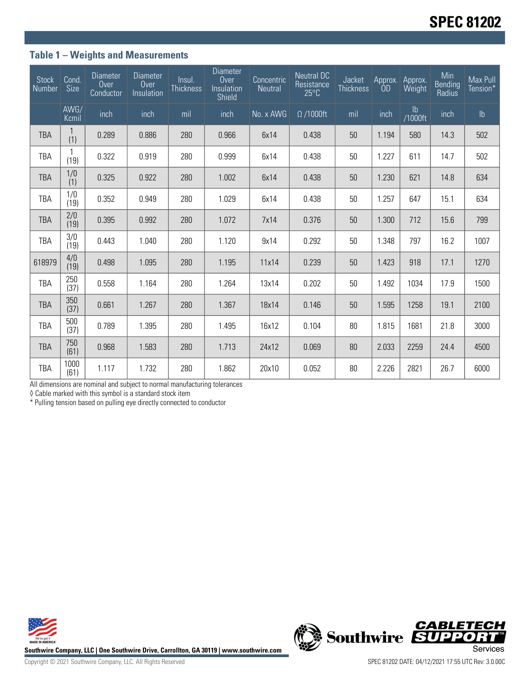## **Table 1 – Weights and Measurements**

| <b>Stock</b><br>Number | Cond<br><b>Size</b> | <b>Diameter</b><br>Over<br>Conductor | <b>Diameter</b><br>Over<br>Insulation | Insul.<br><b>Thickness</b> | <b>Diameter</b><br>Over<br>Insulation<br>Shield | Concentric<br>Neutral         | <b>Neutral DC</b><br>Resistance<br>$25^{\circ}C$ | Jacket<br><b>Thickness</b> | Approx.<br>OD | Approx.<br>Weight        | Min<br><b>Bending</b><br>Radius | Max Pull<br>Tension* |
|------------------------|---------------------|--------------------------------------|---------------------------------------|----------------------------|-------------------------------------------------|-------------------------------|--------------------------------------------------|----------------------------|---------------|--------------------------|---------------------------------|----------------------|
|                        | AWG/<br>Kcmil       | inch                                 | inch                                  | mil                        | inch                                            | $\overline{\text{No. x}}$ AWG | $\Omega$ /1000ft                                 | mil                        | inch          | $\mathsf{lb}$<br>/1000ft | inch                            | $\mathsf{lb}$        |
| <b>TBA</b>             | (1)                 | 0.289                                | 0.886                                 | 280                        | 0.966                                           | 6x14                          | 0.438                                            | 50                         | 1.194         | 580                      | 14.3                            | 502                  |
| TBA                    | (19)                | 0.322                                | 0.919                                 | 280                        | 0.999                                           | 6x14                          | 0.438                                            | 50                         | 1.227         | 611                      | 14.7                            | 502                  |
| <b>TBA</b>             | 1/0<br>(1)          | 0.325                                | 0.922                                 | 280                        | 1.002                                           | 6x14                          | 0.438                                            | 50                         | 1.230         | 621                      | 14.8                            | 634                  |
| TBA                    | 1/0<br>(19)         | 0.352                                | 0.949                                 | 280                        | 1.029                                           | 6x14                          | 0.438                                            | 50                         | 1.257         | 647                      | 15.1                            | 634                  |
| <b>TBA</b>             | 2/0<br>(19)         | 0.395                                | 0.992                                 | 280                        | 1.072                                           | 7x14                          | 0.376                                            | 50                         | 1.300         | 712                      | 15.6                            | 799                  |
| TBA                    | 3/0<br>(19)         | 0.443                                | 1.040                                 | 280                        | 1.120                                           | 9x14                          | 0.292                                            | 50                         | 1.348         | 797                      | 16.2                            | 1007                 |
| 618979                 | 4/0<br>(19)         | 0.498                                | 1.095                                 | 280                        | 1.195                                           | 11x14                         | 0.239                                            | 50                         | 1.423         | 918                      | 17.1                            | 1270                 |
| TBA                    | 250<br>(37)         | 0.558                                | 1.164                                 | 280                        | 1.264                                           | 13x14                         | 0.202                                            | 50                         | 1.492         | 1034                     | 17.9                            | 1500                 |
| <b>TBA</b>             | 350<br>(37)         | 0.661                                | 1.267                                 | 280                        | 1.367                                           | 18x14                         | 0.146                                            | 50                         | 1.595         | 1258                     | 19.1                            | 2100                 |
| TBA                    | 500<br>(37)         | 0.789                                | 1.395                                 | 280                        | 1.495                                           | 16x12                         | 0.104                                            | 80                         | 1.815         | 1681                     | 21.8                            | 3000                 |
| <b>TBA</b>             | 750<br>(61)         | 0.968                                | 1.583                                 | 280                        | 1.713                                           | 24x12                         | 0.069                                            | 80                         | 2.033         | 2259                     | 24.4                            | 4500                 |
| <b>TBA</b>             | 1000<br>(61)        | 1.117                                | 1.732                                 | 280                        | 1.862                                           | 20x10                         | 0.052                                            | 80                         | 2.226         | 2821                     | 26.7                            | 6000                 |

All dimensions are nominal and subject to normal manufacturing tolerances

◊ Cable marked with this symbol is a standard stock item

\* Pulling tension based on pulling eye directly connected to conductor





Copyright © 2021 Southwire Company, LLC. All Rights Reserved SPEC 81202 DATE: 04/12/2021 17:55 UTC Rev: 3.0.00C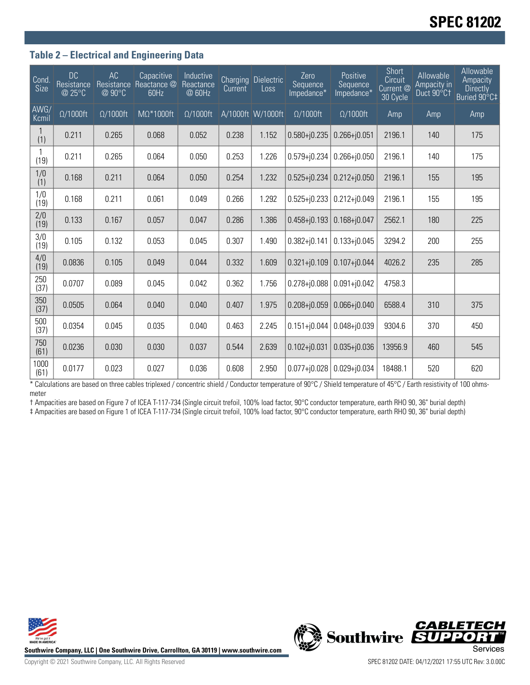# **SPEC 81202**

#### **Table 2 – Electrical and Engineering Data**

| Cond<br>Size  | <b>DC</b><br>Resistance<br>@ 25°C | AC<br>Resistance<br>@90°C | Capacitive<br>Reactance @<br>60Hz | Inductive<br>Reactance<br>@ 60Hz | Current | <b>Charging Dielectric</b><br>Loss | Zero<br>Sequence<br>Impedance* | Positive<br>Sequence<br>Impedance* | Short<br>Circuit<br>Current @<br>30 Cycle | Allowable<br>Ampacity in<br>Duct 90°C1 | Allowable<br>Ampacity<br><b>Directly</b><br>Buried 90°C‡ |
|---------------|-----------------------------------|---------------------------|-----------------------------------|----------------------------------|---------|------------------------------------|--------------------------------|------------------------------------|-------------------------------------------|----------------------------------------|----------------------------------------------------------|
| AWG/<br>Kcmil | $\Omega/1000$ ft                  | $\Omega/1000$ ft          | $M\Omega^*1000$ ft                | $\Omega/1000$ ft                 |         | A/1000ft W/1000ft                  | $\Omega/1000$ ft               | $\Omega/1000$ ft                   | Amp                                       | Amp                                    | <b>Amp</b>                                               |
| (1)           | 0.211                             | 0.265                     | 0.068                             | 0.052                            | 0.238   | 1.152                              | $0.580 + j0.235$               | $0.266 + j0.051$                   | 2196.1                                    | 140                                    | 175                                                      |
| (19)          | 0.211                             | 0.265                     | 0.064                             | 0.050                            | 0.253   | 1.226                              | $0.579 + j0.234$               | $0.266 + j0.050$                   | 2196.1                                    | 140                                    | 175                                                      |
| 1/0<br>(1)    | 0.168                             | 0.211                     | 0.064                             | 0.050                            | 0.254   | 1.232                              | $0.525 + j0.234$               | $0.212 + 0.050$                    | 2196.1                                    | 155                                    | 195                                                      |
| 1/0<br>(19)   | 0.168                             | 0.211                     | 0.061                             | 0.049                            | 0.266   | 1.292                              | $0.525 + j0.233$               | $0.212 + j0.049$                   | 2196.1                                    | 155                                    | 195                                                      |
| 2/0<br>(19)   | 0.133                             | 0.167                     | 0.057                             | 0.047                            | 0.286   | 1.386                              | $0.458 + 0.193$                | $0.168 + j0.047$                   | 2562.1                                    | 180                                    | 225                                                      |
| 3/0<br>(19)   | 0.105                             | 0.132                     | 0.053                             | 0.045                            | 0.307   | 1.490                              | $0.382 + j0.141$               | $0.133 + j0.045$                   | 3294.2                                    | 200                                    | 255                                                      |
| 4/0<br>(19)   | 0.0836                            | 0.105                     | 0.049                             | 0.044                            | 0.332   | 1.609                              | $0.321 + j0.109$               | $0.107 + j0.044$                   | 4026.2                                    | 235                                    | 285                                                      |
| 250<br>(37)   | 0.0707                            | 0.089                     | 0.045                             | 0.042                            | 0.362   | 1.756                              | $0.278 + j0.088$               | $0.091 + j0.042$                   | 4758.3                                    |                                        |                                                          |
| 350<br>(37)   | 0.0505                            | 0.064                     | 0.040                             | 0.040                            | 0.407   | 1.975                              | $0.208 + j0.059$               | $0.066 + 0.040$                    | 6588.4                                    | 310                                    | 375                                                      |
| 500<br>(37)   | 0.0354                            | 0.045                     | 0.035                             | 0.040                            | 0.463   | 2.245                              | $0.151 + j0.044$               | $0.048 + 0.039$                    | 9304.6                                    | 370                                    | 450                                                      |
| 750<br>(61)   | 0.0236                            | 0.030                     | 0.030                             | 0.037                            | 0.544   | 2.639                              | $0.102 + j0.031$               | $0.035 + j0.036$                   | 13956.9                                   | 460                                    | 545                                                      |
| 1000<br>(61)  | 0.0177                            | 0.023                     | 0.027                             | 0.036                            | 0.608   | 2.950                              | $0.077 + 0.028$                | $0.029 + j0.034$                   | 18488.1                                   | 520                                    | 620                                                      |

\* Calculations are based on three cables triplexed / concentric shield / Conductor temperature of 90°C / Shield temperature of 45°C / Earth resistivity of 100 ohmsmeter

† Ampacities are based on Figure 7 of ICEA T-117-734 (Single circuit trefoil, 100% load factor, 90°C conductor temperature, earth RHO 90, 36" burial depth) ‡ Ampacities are based on Figure 1 of ICEA T-117-734 (Single circuit trefoil, 100% load factor, 90°C conductor temperature, earth RHO 90, 36" burial depth)





Copyright © 2021 Southwire Company, LLC. All Rights Reserved SPEC 81202 DATE: 04/12/2021 17:55 UTC Rev: 3.0.00C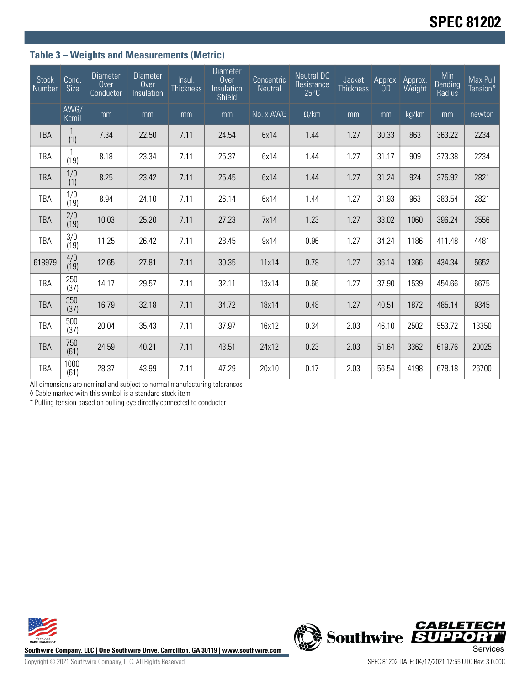## **Table 3 – Weights and Measurements (Metric)**

| <b>Stock</b><br>Number | Cond.<br><b>Size</b> | <b>Diameter</b><br>Over<br>Conductor | <b>Diameter</b><br>Over<br>Insulation | Insul.<br><b>Thickness</b> | <b>Diameter</b><br>Over<br>Insulation<br>Shield | Concentric<br><b>Neutral</b> | <b>Neutral DC</b><br>Resistance<br>$25^{\circ}C$ | Jacket<br><b>Thickness</b> | Approx.<br>0D | Approx.<br>Weight | Min<br><b>Bending</b><br>Radius | Max Pull<br>Tension* |
|------------------------|----------------------|--------------------------------------|---------------------------------------|----------------------------|-------------------------------------------------|------------------------------|--------------------------------------------------|----------------------------|---------------|-------------------|---------------------------------|----------------------|
|                        | AWG/<br>Kcmil        | mm                                   | mm                                    | mm                         | mm                                              | No. x AWG                    | $\Omega$ /km                                     | mm                         | mm            | kg/km             | mm                              | newton               |
| <b>TBA</b>             | (1)                  | 7.34                                 | 22.50                                 | 7.11                       | 24.54                                           | 6x14                         | 1.44                                             | 1.27                       | 30.33         | 863               | 363.22                          | 2234                 |
| TBA                    | (19)                 | 8.18                                 | 23.34                                 | 7.11                       | 25.37                                           | 6x14                         | 1.44                                             | 1.27                       | 31.17         | 909               | 373.38                          | 2234                 |
| <b>TBA</b>             | $\frac{1}{0}$        | 8.25                                 | 23.42                                 | 7.11                       | 25.45                                           | 6x14                         | 1.44                                             | 1.27                       | 31.24         | 924               | 375.92                          | 2821                 |
| <b>TBA</b>             | 1/0<br>(19)          | 8.94                                 | 24.10                                 | 7.11                       | 26.14                                           | 6x14                         | 1.44                                             | 1.27                       | 31.93         | 963               | 383.54                          | 2821                 |
| <b>TBA</b>             | 2/0<br>(19)          | 10.03                                | 25.20                                 | 7.11                       | 27.23                                           | 7x14                         | 1.23                                             | 1.27                       | 33.02         | 1060              | 396.24                          | 3556                 |
| TBA                    | 3/0<br>(19)          | 11.25                                | 26.42                                 | 7.11                       | 28.45                                           | 9x14                         | 0.96                                             | 1.27                       | 34.24         | 1186              | 411.48                          | 4481                 |
| 618979                 | 4/0<br>(19)          | 12.65                                | 27.81                                 | 7.11                       | 30.35                                           | 11x14                        | 0.78                                             | 1.27                       | 36.14         | 1366              | 434.34                          | 5652                 |
| TBA                    | 250<br>(37)          | 14.17                                | 29.57                                 | 7.11                       | 32.11                                           | 13x14                        | 0.66                                             | 1.27                       | 37.90         | 1539              | 454.66                          | 6675                 |
| <b>TBA</b>             | 350<br>(37)          | 16.79                                | 32.18                                 | 7.11                       | 34.72                                           | 18x14                        | 0.48                                             | 1.27                       | 40.51         | 1872              | 485.14                          | 9345                 |
| TBA                    | 500<br>(37)          | 20.04                                | 35.43                                 | 7.11                       | 37.97                                           | 16x12                        | 0.34                                             | 2.03                       | 46.10         | 2502              | 553.72                          | 13350                |
| <b>TBA</b>             | 750<br>(61)          | 24.59                                | 40.21                                 | 7.11                       | 43.51                                           | 24x12                        | 0.23                                             | 2.03                       | 51.64         | 3362              | 619.76                          | 20025                |
| <b>TBA</b>             | 1000<br>(61)         | 28.37                                | 43.99                                 | 7.11                       | 47.29                                           | 20x10                        | 0.17                                             | 2.03                       | 56.54         | 4198              | 678.18                          | 26700                |

All dimensions are nominal and subject to normal manufacturing tolerances

◊ Cable marked with this symbol is a standard stock item

\* Pulling tension based on pulling eye directly connected to conductor